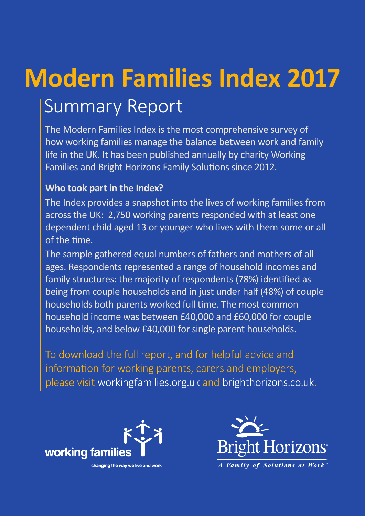# **Modern Families Index 2017** Summary Report

The Modern Families Index is the most comprehensive survey of how working families manage the balance between work and family life in the UK. It has been published annually by charity Working Families and Bright Horizons Family Solutions since 2012.

#### **Who took part in the Index?**

The Index provides a snapshot into the lives of working families from across the UK: 2,750 working parents responded with at least one dependent child aged 13 or younger who lives with them some or all of the time.

The sample gathered equal numbers of fathers and mothers of all ages. Respondents represented a range of household incomes and family structures: the majority of respondents (78%) identified as being from couple households and in just under half (48%) of couple households both parents worked full time. The most common household income was between £40,000 and £60,000 for couple households, and below £40,000 for single parent households.

To download the full report, and for helpful advice and information for working parents, carers and employers, please visit workingfamilies.org.uk and brighthorizons.co.uk.



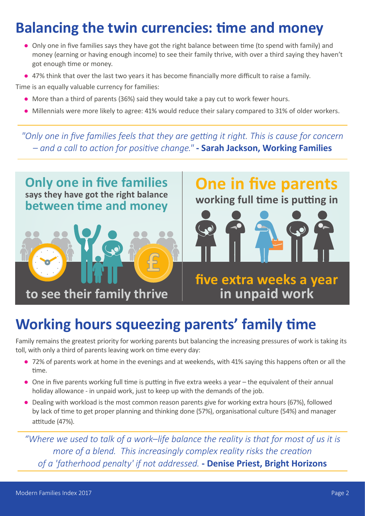#### **Balancing the twin currencies: time and money**

- Only one in five families says they have got the right balance between time (to spend with family) and money (earning or having enough income) to see their family thrive, with over a third saying they haven't got enough time or money.
- 47% think that over the last two years it has become financially more difficult to raise a family.

Time is an equally valuable currency for families:

- More than a third of parents (36%) said they would take a pay cut to work fewer hours.
- Millennials were more likely to agree: 41% would reduce their salary compared to 31% of older workers.

*"Only one in five families feels that they are getting it right. This is cause for concern – and a call to action for positive change."* **- Sarah Jackson, Working Families**



### **Working hours squeezing parents' family time**

Family remains the greatest priority for working parents but balancing the increasing pressures of work is taking its toll, with only a third of parents leaving work on time every day:

- 72% of parents work at home in the evenings and at weekends, with 41% saying this happens often or all the time.
- One in five parents working full time is putting in five extra weeks a year the equivalent of their annual holiday allowance - in unpaid work, just to keep up with the demands of the job.
- Dealing with workload is the most common reason parents give for working extra hours (67%), followed by lack of time to get proper planning and thinking done (57%), organisational culture (54%) and manager attitude (47%).

*"Where we used to talk of a work–life balance the reality is that for most of us it is more of a blend. This increasingly complex reality risks the creation of a 'fatherhood penalty' if not addressed.* **- Denise Priest, Bright Horizons**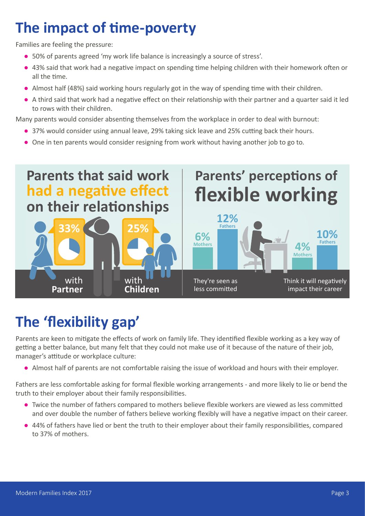#### **The impact of time-poverty**

Families are feeling the pressure:

- 50% of parents agreed 'my work life balance is increasingly a source of stress'.
- 43% said that work had a negative impact on spending time helping children with their homework often or all the time.
- Almost half (48%) said working hours regularly got in the way of spending time with their children.
- A third said that work had a negative effect on their relationship with their partner and a quarter said it led to rows with their children.

Many parents would consider absenting themselves from the workplace in order to deal with burnout:

- 37% would consider using annual leave, 29% taking sick leave and 25% cutting back their hours.
- One in ten parents would consider resigning from work without having another job to go to.



#### **The 'flexibility gap'**

Parents are keen to mitigate the effects of work on family life. They identified flexible working as a key way of getting a better balance, but many felt that they could not make use of it because of the nature of their job, manager's attitude or workplace culture:

● Almost half of parents are not comfortable raising the issue of workload and hours with their employer.

Fathers are less comfortable asking for formal flexible working arrangements - and more likely to lie or bend the truth to their employer about their family responsibilities.

- Twice the number of fathers compared to mothers believe flexible workers are viewed as less committed and over double the number of fathers believe working flexibly will have a negative impact on their career.
- 44% of fathers have lied or bent the truth to their employer about their family responsibilities, compared to 37% of mothers.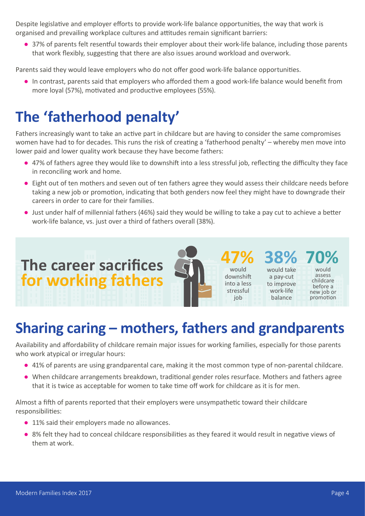Despite legislative and employer efforts to provide work-life balance opportunities, the way that work is organised and prevailing workplace cultures and attitudes remain significant barriers:

● 37% of parents felt resentful towards their employer about their work-life balance, including those parents that work flexibly, suggesting that there are also issues around workload and overwork.

Parents said they would leave employers who do not offer good work-life balance opportunities.

● In contrast, parents said that employers who afforded them a good work-life balance would benefit from more loyal (57%), motivated and productive employees (55%).

#### **The 'fatherhood penalty'**

**The career sacrifices**

**for working fathers**

Fathers increasingly want to take an active part in childcare but are having to consider the same compromises women have had to for decades. This runs the risk of creating a 'fatherhood penalty' – whereby men move into lower paid and lower quality work because they have become fathers:

- 47% of fathers agree they would like to downshift into a less stressful job, reflecting the difficulty they face in reconciling work and home.
- Eight out of ten mothers and seven out of ten fathers agree they would assess their childcare needs before taking a new job or promotion, indicating that both genders now feel they might have to downgrade their careers in order to care for their families.
- Just under half of millennial fathers (46%) said they would be willing to take a pay cut to achieve a better work-life balance, vs. just over a third of fathers overall (38%).

**47%** would downshift into a less stressful iob

**38%** would take a pay-cut to improve work-life balance

**70%** would assess childcare before a new job or promotion

## **Sharing caring – mothers, fathers and grandparents**

Availability and affordability of childcare remain major issues for working families, especially for those parents who work atypical or irregular hours:

- 41% of parents are using grandparental care, making it the most common type of non-parental childcare.
- When childcare arrangements breakdown, traditional gender roles resurface. Mothers and fathers agree that it is twice as acceptable for women to take time off work for childcare as it is for men.

Almost a fifth of parents reported that their employers were unsympathetic toward their childcare responsibilities:

- 11% said their employers made no allowances.
- 8% felt they had to conceal childcare responsibilities as they feared it would result in negative views of them at work.